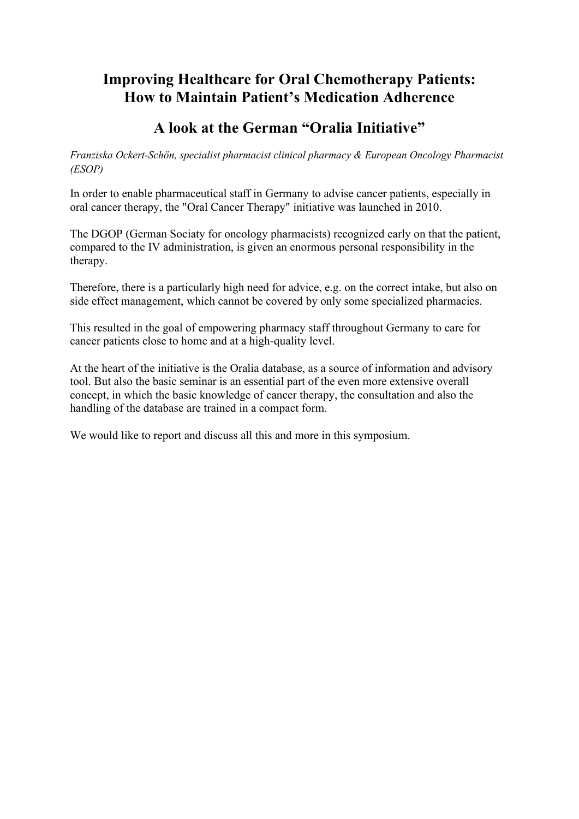# **Improving Healthcare for Oral Chemotherapy Patients: How to Maintain Patient's Medication Adherence**

# **A look at the German "Oralia Initiative"**

*Franziska Ockert-Schön, specialist pharmacist clinical pharmacy & European Oncology Pharmacist (ESOP)*

In order to enable pharmaceutical staff in Germany to advise cancer patients, especially in oral cancer therapy, the "Oral Cancer Therapy" initiative was launched in 2010.

The DGOP (German Sociaty for oncology pharmacists) recognized early on that the patient, compared to the IV administration, is given an enormous personal responsibility in the therapy.

Therefore, there is a particularly high need for advice, e.g. on the correct intake, but also on side effect management, which cannot be covered by only some specialized pharmacies.

This resulted in the goal of empowering pharmacy staff throughout Germany to care for cancer patients close to home and at a high-quality level.

At the heart of the initiative is the Oralia database, as a source of information and advisory tool. But also the basic seminar is an essential part of the even more extensive overall concept, in which the basic knowledge of cancer therapy, the consultation and also the handling of the database are trained in a compact form.

We would like to report and discuss all this and more in this symposium.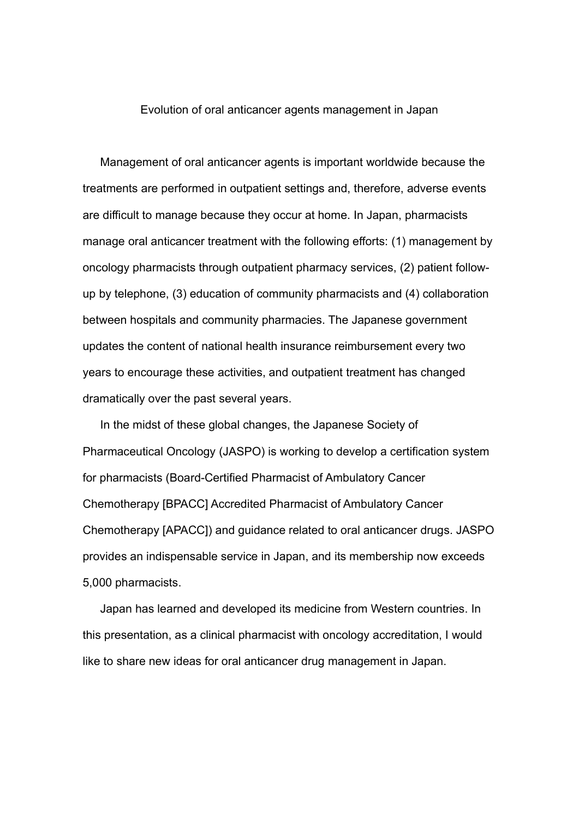#### Evolution of oral anticancer agents management in Japan

Management of oral anticancer agents is important worldwide because the treatments are performed in outpatient settings and, therefore, adverse events are difficult to manage because they occur at home. In Japan, pharmacists manage oral anticancer treatment with the following efforts: (1) management by oncology pharmacists through outpatient pharmacy services, (2) patient followup by telephone, (3) education of community pharmacists and (4) collaboration between hospitals and community pharmacies. The Japanese government updates the content of national health insurance reimbursement every two years to encourage these activities, and outpatient treatment has changed dramatically over the past several years.

In the midst of these global changes, the Japanese Society of Pharmaceutical Oncology (JASPO) is working to develop a certification system for pharmacists (Board-Certified Pharmacist of Ambulatory Cancer Chemotherapy [BPACC] Accredited Pharmacist of Ambulatory Cancer Chemotherapy [APACC]) and guidance related to oral anticancer drugs. JASPO provides an indispensable service in Japan, and its membership now exceeds 5,000 pharmacists.

Japan has learned and developed its medicine from Western countries. In this presentation, as a clinical pharmacist with oncology accreditation, I would like to share new ideas for oral anticancer drug management in Japan.